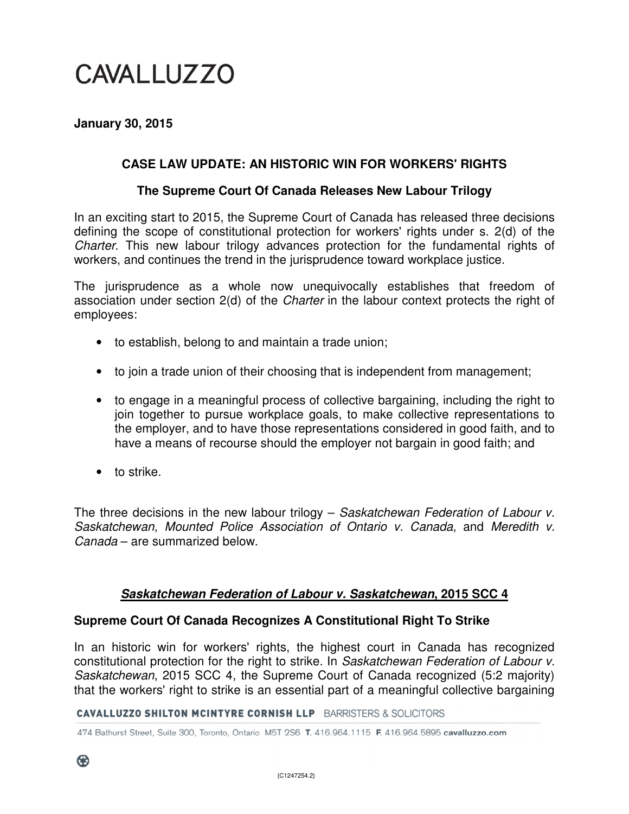# CAVALLUZZO

# **January 30, 2015**

# **CASE LAW UPDATE: AN HISTORIC WIN FOR WORKERS' RIGHTS**

#### **The Supreme Court Of Canada Releases New Labour Trilogy**

In an exciting start to 2015, the Supreme Court of Canada has released three decisions defining the scope of constitutional protection for workers' rights under s. 2(d) of the Charter. This new labour trilogy advances protection for the fundamental rights of workers, and continues the trend in the jurisprudence toward workplace justice.

The jurisprudence as a whole now unequivocally establishes that freedom of association under section 2(d) of the Charter in the labour context protects the right of employees:

- to establish, belong to and maintain a trade union;
- to join a trade union of their choosing that is independent from management;
- to engage in a meaningful process of collective bargaining, including the right to join together to pursue workplace goals, to make collective representations to the employer, and to have those representations considered in good faith, and to have a means of recourse should the employer not bargain in good faith; and
- to strike.

The three decisions in the new labour trilogy – Saskatchewan Federation of Labour v. Saskatchewan, Mounted Police Association of Ontario v. Canada, and Meredith v. Canada – are summarized below.

#### **Saskatchewan Federation of Labour v. Saskatchewan, 2015 SCC 4**

# **Supreme Court Of Canada Recognizes A Constitutional Right To Strike**

In an historic win for workers' rights, the highest court in Canada has recognized constitutional protection for the right to strike. In Saskatchewan Federation of Labour v. Saskatchewan, 2015 SCC 4, the Supreme Court of Canada recognized (5:2 majority) that the workers' right to strike is an essential part of a meaningful collective bargaining

#### **CAVALLUZZO SHILTON MCINTYRE CORNISH LLP** BARRISTERS & SOLICITORS

474 Bathurst Street, Suite 300, Toronto, Ontario M5T 2S6 T. 416.964.1115 F. 416.964.5895 cavalluzzo.com

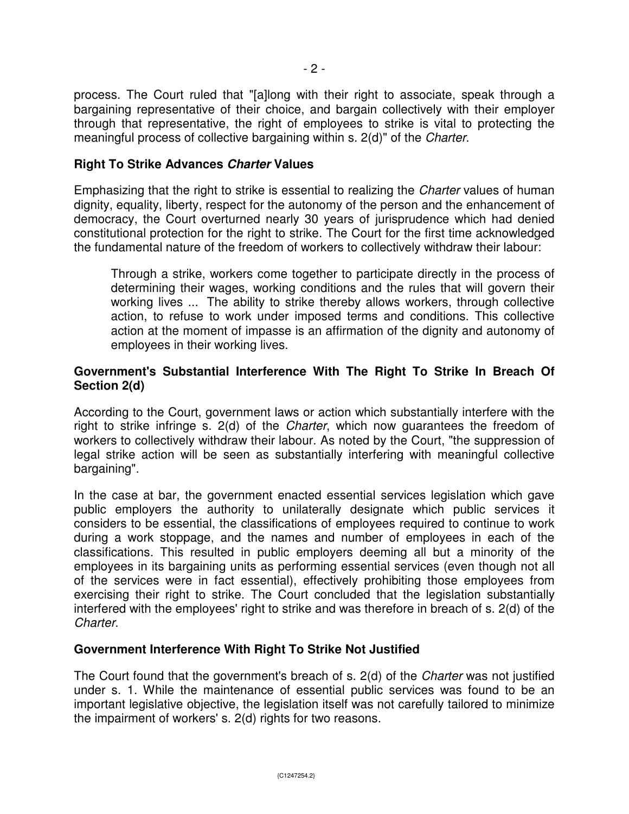process. The Court ruled that "[a]long with their right to associate, speak through a bargaining representative of their choice, and bargain collectively with their employer through that representative, the right of employees to strike is vital to protecting the meaningful process of collective bargaining within s. 2(d)" of the Charter.

# **Right To Strike Advances Charter Values**

Emphasizing that the right to strike is essential to realizing the Charter values of human dignity, equality, liberty, respect for the autonomy of the person and the enhancement of democracy, the Court overturned nearly 30 years of jurisprudence which had denied constitutional protection for the right to strike. The Court for the first time acknowledged the fundamental nature of the freedom of workers to collectively withdraw their labour:

Through a strike, workers come together to participate directly in the process of determining their wages, working conditions and the rules that will govern their working lives ... The ability to strike thereby allows workers, through collective action, to refuse to work under imposed terms and conditions. This collective action at the moment of impasse is an affirmation of the dignity and autonomy of employees in their working lives.

# **Government's Substantial Interference With The Right To Strike In Breach Of Section 2(d)**

According to the Court, government laws or action which substantially interfere with the right to strike infringe s. 2(d) of the Charter, which now guarantees the freedom of workers to collectively withdraw their labour. As noted by the Court, "the suppression of legal strike action will be seen as substantially interfering with meaningful collective bargaining".

In the case at bar, the government enacted essential services legislation which gave public employers the authority to unilaterally designate which public services it considers to be essential, the classifications of employees required to continue to work during a work stoppage, and the names and number of employees in each of the classifications. This resulted in public employers deeming all but a minority of the employees in its bargaining units as performing essential services (even though not all of the services were in fact essential), effectively prohibiting those employees from exercising their right to strike. The Court concluded that the legislation substantially interfered with the employees' right to strike and was therefore in breach of s. 2(d) of the Charter.

# **Government Interference With Right To Strike Not Justified**

The Court found that the government's breach of s. 2(d) of the Charter was not justified under s. 1. While the maintenance of essential public services was found to be an important legislative objective, the legislation itself was not carefully tailored to minimize the impairment of workers' s. 2(d) rights for two reasons.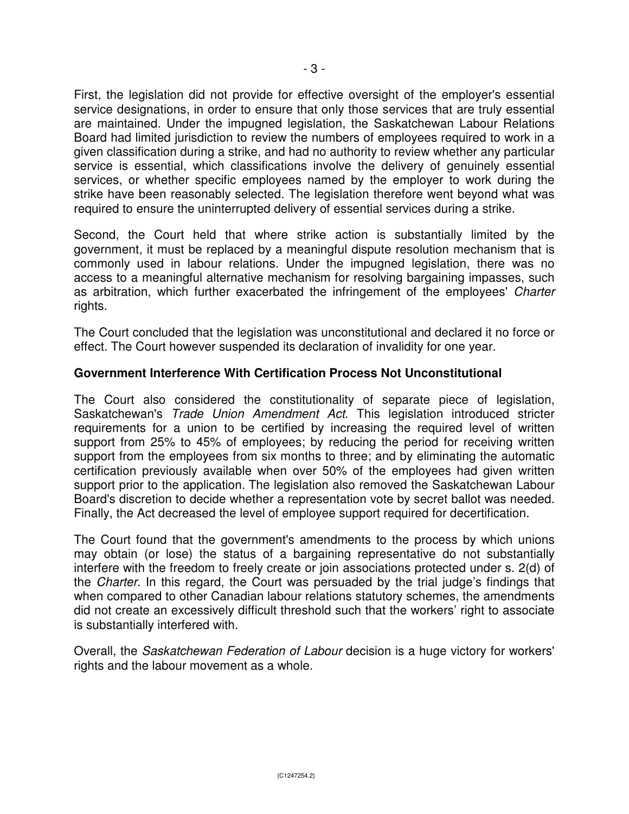First, the legislation did not provide for effective oversight of the employer's essential service designations, in order to ensure that only those services that are truly essential are maintained. Under the impugned legislation, the Saskatchewan Labour Relations Board had limited jurisdiction to review the numbers of employees required to work in a given classification during a strike, and had no authority to review whether any particular service is essential, which classifications involve the delivery of genuinely essential services, or whether specific employees named by the employer to work during the strike have been reasonably selected. The legislation therefore went beyond what was required to ensure the uninterrupted delivery of essential services during a strike.

Second, the Court held that where strike action is substantially limited by the government, it must be replaced by a meaningful dispute resolution mechanism that is commonly used in labour relations. Under the impugned legislation, there was no access to a meaningful alternative mechanism for resolving bargaining impasses, such as arbitration, which further exacerbated the infringement of the employees' Charter rights.

The Court concluded that the legislation was unconstitutional and declared it no force or effect. The Court however suspended its declaration of invalidity for one year.

# **Government Interference With Certification Process Not Unconstitutional**

The Court also considered the constitutionality of separate piece of legislation, Saskatchewan's Trade Union Amendment Act. This legislation introduced stricter requirements for a union to be certified by increasing the required level of written support from 25% to 45% of employees; by reducing the period for receiving written support from the employees from six months to three; and by eliminating the automatic certification previously available when over 50% of the employees had given written support prior to the application. The legislation also removed the Saskatchewan Labour Board's discretion to decide whether a representation vote by secret ballot was needed. Finally, the Act decreased the level of employee support required for decertification.

The Court found that the government's amendments to the process by which unions may obtain (or lose) the status of a bargaining representative do not substantially interfere with the freedom to freely create or join associations protected under s. 2(d) of the Charter. In this regard, the Court was persuaded by the trial judge's findings that when compared to other Canadian labour relations statutory schemes, the amendments did not create an excessively difficult threshold such that the workers' right to associate is substantially interfered with.

Overall, the Saskatchewan Federation of Labour decision is a huge victory for workers' rights and the labour movement as a whole.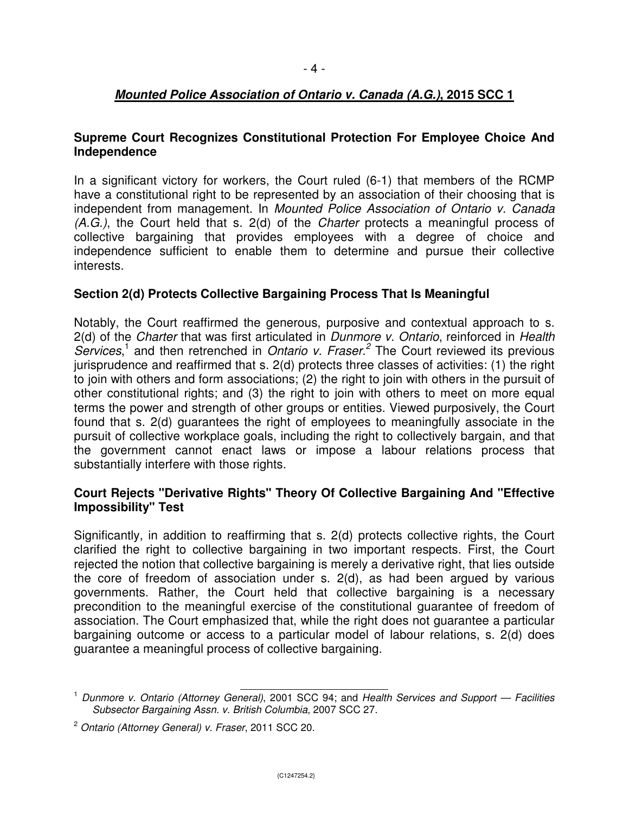# **Mounted Police Association of Ontario v. Canada (A.G.), 2015 SCC 1**

# **Supreme Court Recognizes Constitutional Protection For Employee Choice And Independence**

In a significant victory for workers, the Court ruled (6-1) that members of the RCMP have a constitutional right to be represented by an association of their choosing that is independent from management. In Mounted Police Association of Ontario v. Canada (A.G.), the Court held that s. 2(d) of the Charter protects a meaningful process of collective bargaining that provides employees with a degree of choice and independence sufficient to enable them to determine and pursue their collective interests.

#### **Section 2(d) Protects Collective Bargaining Process That Is Meaningful**

Notably, the Court reaffirmed the generous, purposive and contextual approach to s. 2(d) of the Charter that was first articulated in Dunmore v. Ontario, reinforced in Health Services,<sup>1</sup> and then retrenched in Ontario v. Fraser.<sup>2</sup> The Court reviewed its previous jurisprudence and reaffirmed that s. 2(d) protects three classes of activities: (1) the right to join with others and form associations; (2) the right to join with others in the pursuit of other constitutional rights; and (3) the right to join with others to meet on more equal terms the power and strength of other groups or entities. Viewed purposively, the Court found that s. 2(d) guarantees the right of employees to meaningfully associate in the pursuit of collective workplace goals, including the right to collectively bargain, and that the government cannot enact laws or impose a labour relations process that substantially interfere with those rights.

#### **Court Rejects "Derivative Rights" Theory Of Collective Bargaining And "Effective Impossibility" Test**

Significantly, in addition to reaffirming that s. 2(d) protects collective rights, the Court clarified the right to collective bargaining in two important respects. First, the Court rejected the notion that collective bargaining is merely a derivative right, that lies outside the core of freedom of association under s. 2(d), as had been argued by various governments. Rather, the Court held that collective bargaining is a necessary precondition to the meaningful exercise of the constitutional guarantee of freedom of association. The Court emphasized that, while the right does not guarantee a particular bargaining outcome or access to a particular model of labour relations, s. 2(d) does guarantee a meaningful process of collective bargaining.

 <sup>1</sup> Dunmore v. Ontario (Attorney General), 2001 SCC 94; and Health Services and Support — Facilities Subsector Bargaining Assn. v. British Columbia, 2007 SCC 27.

 $2$  Ontario (Attorney General) v. Fraser, 2011 SCC 20.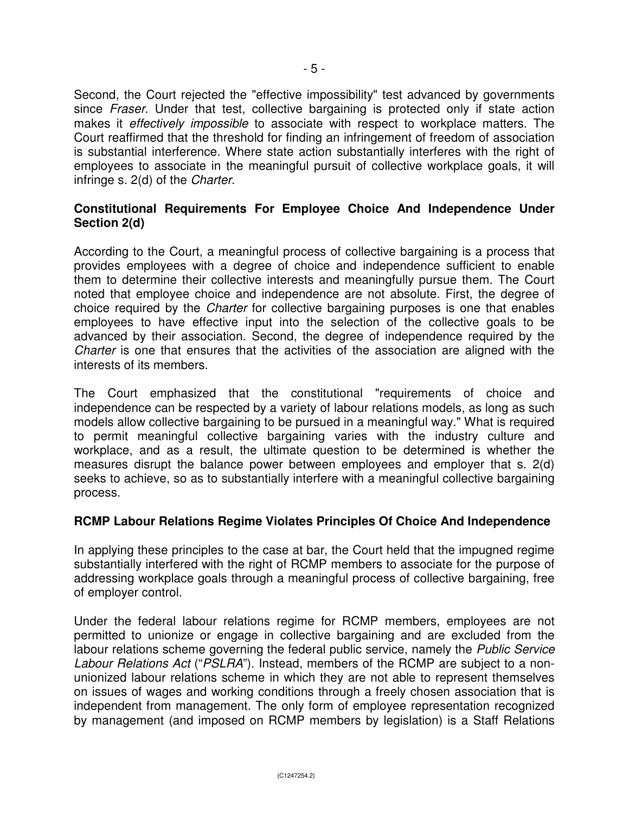Second, the Court rejected the "effective impossibility" test advanced by governments since *Fraser*. Under that test, collective bargaining is protected only if state action makes it effectively impossible to associate with respect to workplace matters. The Court reaffirmed that the threshold for finding an infringement of freedom of association is substantial interference. Where state action substantially interferes with the right of employees to associate in the meaningful pursuit of collective workplace goals, it will infringe s. 2(d) of the Charter.

# **Constitutional Requirements For Employee Choice And Independence Under Section 2(d)**

According to the Court, a meaningful process of collective bargaining is a process that provides employees with a degree of choice and independence sufficient to enable them to determine their collective interests and meaningfully pursue them. The Court noted that employee choice and independence are not absolute. First, the degree of choice required by the Charter for collective bargaining purposes is one that enables employees to have effective input into the selection of the collective goals to be advanced by their association. Second, the degree of independence required by the Charter is one that ensures that the activities of the association are aligned with the interests of its members.

The Court emphasized that the constitutional "requirements of choice and independence can be respected by a variety of labour relations models, as long as such models allow collective bargaining to be pursued in a meaningful way." What is required to permit meaningful collective bargaining varies with the industry culture and workplace, and as a result, the ultimate question to be determined is whether the measures disrupt the balance power between employees and employer that s. 2(d) seeks to achieve, so as to substantially interfere with a meaningful collective bargaining process.

# **RCMP Labour Relations Regime Violates Principles Of Choice And Independence**

In applying these principles to the case at bar, the Court held that the impugned regime substantially interfered with the right of RCMP members to associate for the purpose of addressing workplace goals through a meaningful process of collective bargaining, free of employer control.

Under the federal labour relations regime for RCMP members, employees are not permitted to unionize or engage in collective bargaining and are excluded from the labour relations scheme governing the federal public service, namely the Public Service Labour Relations Act ("PSLRA"). Instead, members of the RCMP are subject to a nonunionized labour relations scheme in which they are not able to represent themselves on issues of wages and working conditions through a freely chosen association that is independent from management. The only form of employee representation recognized by management (and imposed on RCMP members by legislation) is a Staff Relations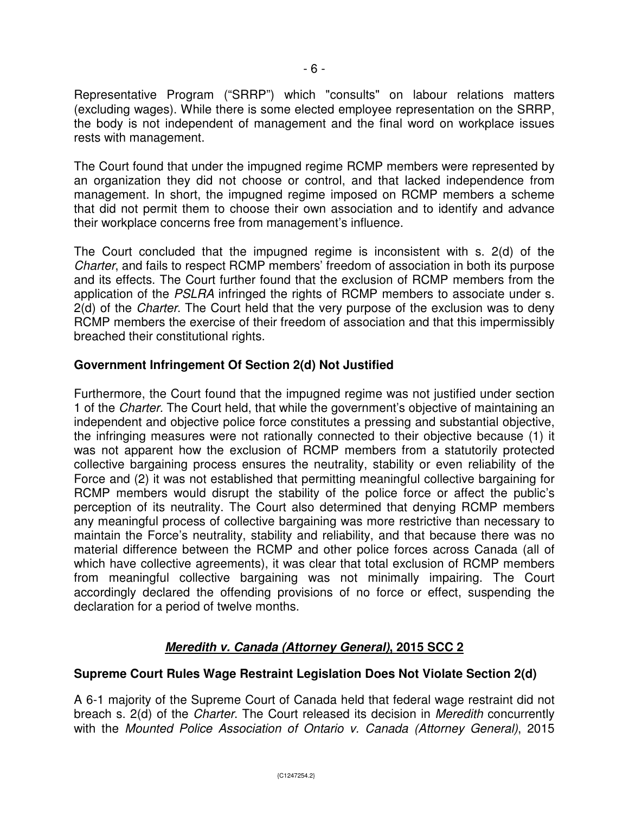Representative Program ("SRRP") which "consults" on labour relations matters (excluding wages). While there is some elected employee representation on the SRRP, the body is not independent of management and the final word on workplace issues rests with management.

The Court found that under the impugned regime RCMP members were represented by an organization they did not choose or control, and that lacked independence from management. In short, the impugned regime imposed on RCMP members a scheme that did not permit them to choose their own association and to identify and advance their workplace concerns free from management's influence.

The Court concluded that the impugned regime is inconsistent with s. 2(d) of the Charter, and fails to respect RCMP members' freedom of association in both its purpose and its effects. The Court further found that the exclusion of RCMP members from the application of the PSLRA infringed the rights of RCMP members to associate under s. 2(d) of the Charter. The Court held that the very purpose of the exclusion was to deny RCMP members the exercise of their freedom of association and that this impermissibly breached their constitutional rights.

# **Government Infringement Of Section 2(d) Not Justified**

Furthermore, the Court found that the impugned regime was not justified under section 1 of the Charter. The Court held, that while the government's objective of maintaining an independent and objective police force constitutes a pressing and substantial objective, the infringing measures were not rationally connected to their objective because (1) it was not apparent how the exclusion of RCMP members from a statutorily protected collective bargaining process ensures the neutrality, stability or even reliability of the Force and (2) it was not established that permitting meaningful collective bargaining for RCMP members would disrupt the stability of the police force or affect the public's perception of its neutrality. The Court also determined that denying RCMP members any meaningful process of collective bargaining was more restrictive than necessary to maintain the Force's neutrality, stability and reliability, and that because there was no material difference between the RCMP and other police forces across Canada (all of which have collective agreements), it was clear that total exclusion of RCMP members from meaningful collective bargaining was not minimally impairing. The Court accordingly declared the offending provisions of no force or effect, suspending the declaration for a period of twelve months.

# **Meredith v. Canada (Attorney General), 2015 SCC 2**

# **Supreme Court Rules Wage Restraint Legislation Does Not Violate Section 2(d)**

A 6-1 majority of the Supreme Court of Canada held that federal wage restraint did not breach s. 2(d) of the Charter. The Court released its decision in Meredith concurrently with the Mounted Police Association of Ontario v. Canada (Attorney General), 2015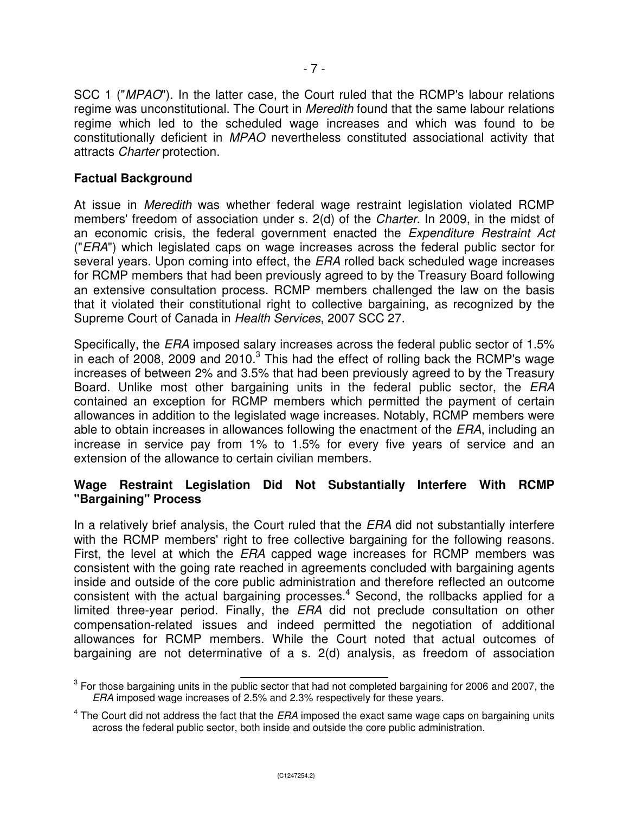SCC 1 ("MPAO"). In the latter case, the Court ruled that the RCMP's labour relations regime was unconstitutional. The Court in *Meredith* found that the same labour relations regime which led to the scheduled wage increases and which was found to be constitutionally deficient in MPAO nevertheless constituted associational activity that attracts Charter protection.

#### **Factual Background**

At issue in Meredith was whether federal wage restraint legislation violated RCMP members' freedom of association under s. 2(d) of the Charter. In 2009, in the midst of an economic crisis, the federal government enacted the Expenditure Restraint Act ("ERA") which legislated caps on wage increases across the federal public sector for several years. Upon coming into effect, the ERA rolled back scheduled wage increases for RCMP members that had been previously agreed to by the Treasury Board following an extensive consultation process. RCMP members challenged the law on the basis that it violated their constitutional right to collective bargaining, as recognized by the Supreme Court of Canada in Health Services, 2007 SCC 27.

Specifically, the ERA imposed salary increases across the federal public sector of 1.5% in each of 2008, 2009 and 2010. $3$  This had the effect of rolling back the RCMP's wage increases of between 2% and 3.5% that had been previously agreed to by the Treasury Board. Unlike most other bargaining units in the federal public sector, the *ERA* contained an exception for RCMP members which permitted the payment of certain allowances in addition to the legislated wage increases. Notably, RCMP members were able to obtain increases in allowances following the enactment of the ERA, including an increase in service pay from 1% to 1.5% for every five years of service and an extension of the allowance to certain civilian members.

#### **Wage Restraint Legislation Did Not Substantially Interfere With RCMP "Bargaining" Process**

In a relatively brief analysis, the Court ruled that the ERA did not substantially interfere with the RCMP members' right to free collective bargaining for the following reasons. First, the level at which the *ERA* capped wage increases for RCMP members was consistent with the going rate reached in agreements concluded with bargaining agents inside and outside of the core public administration and therefore reflected an outcome consistent with the actual bargaining processes. $4$  Second, the rollbacks applied for a limited three-year period. Finally, the ERA did not preclude consultation on other compensation-related issues and indeed permitted the negotiation of additional allowances for RCMP members. While the Court noted that actual outcomes of bargaining are not determinative of a s. 2(d) analysis, as freedom of association

<sup>&</sup>lt;sup>3</sup> For those bargaining units in the public sector that had not completed bargaining for 2006 and 2007, the ERA imposed wage increases of 2.5% and 2.3% respectively for these years.

 $4$  The Court did not address the fact that the *ERA* imposed the exact same wage caps on bargaining units across the federal public sector, both inside and outside the core public administration.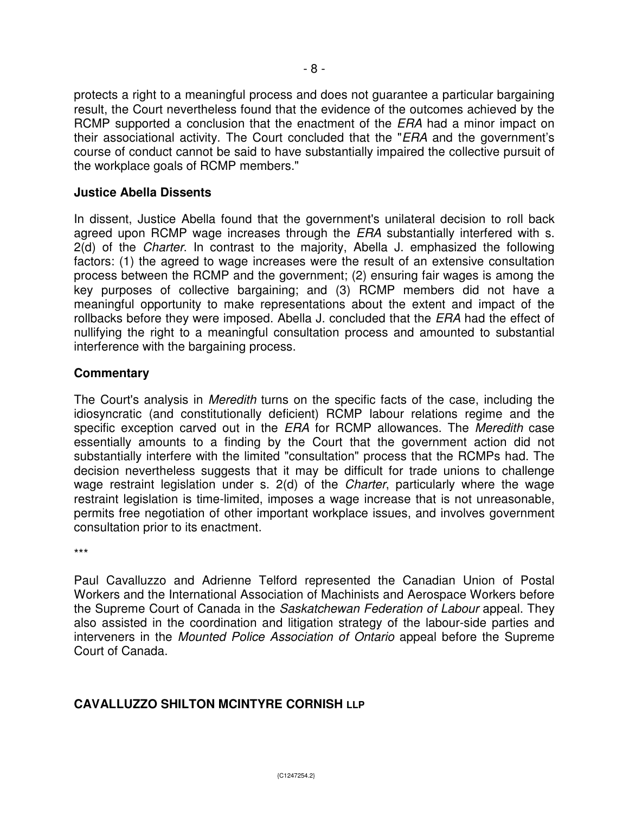protects a right to a meaningful process and does not guarantee a particular bargaining result, the Court nevertheless found that the evidence of the outcomes achieved by the RCMP supported a conclusion that the enactment of the *ERA* had a minor impact on their associational activity. The Court concluded that the "ERA and the government's course of conduct cannot be said to have substantially impaired the collective pursuit of the workplace goals of RCMP members."

# **Justice Abella Dissents**

In dissent, Justice Abella found that the government's unilateral decision to roll back agreed upon RCMP wage increases through the ERA substantially interfered with s. 2(d) of the *Charter*. In contrast to the majority, Abella J. emphasized the following factors: (1) the agreed to wage increases were the result of an extensive consultation process between the RCMP and the government; (2) ensuring fair wages is among the key purposes of collective bargaining; and (3) RCMP members did not have a meaningful opportunity to make representations about the extent and impact of the rollbacks before they were imposed. Abella J. concluded that the ERA had the effect of nullifying the right to a meaningful consultation process and amounted to substantial interference with the bargaining process.

# **Commentary**

The Court's analysis in *Meredith* turns on the specific facts of the case, including the idiosyncratic (and constitutionally deficient) RCMP labour relations regime and the specific exception carved out in the ERA for RCMP allowances. The Meredith case essentially amounts to a finding by the Court that the government action did not substantially interfere with the limited "consultation" process that the RCMPs had. The decision nevertheless suggests that it may be difficult for trade unions to challenge wage restraint legislation under s. 2(d) of the Charter, particularly where the wage restraint legislation is time-limited, imposes a wage increase that is not unreasonable, permits free negotiation of other important workplace issues, and involves government consultation prior to its enactment.

\*\*\*

Paul Cavalluzzo and Adrienne Telford represented the Canadian Union of Postal Workers and the International Association of Machinists and Aerospace Workers before the Supreme Court of Canada in the Saskatchewan Federation of Labour appeal. They also assisted in the coordination and litigation strategy of the labour-side parties and interveners in the Mounted Police Association of Ontario appeal before the Supreme Court of Canada.

# **CAVALLUZZO SHILTON MCINTYRE CORNISH LLP**